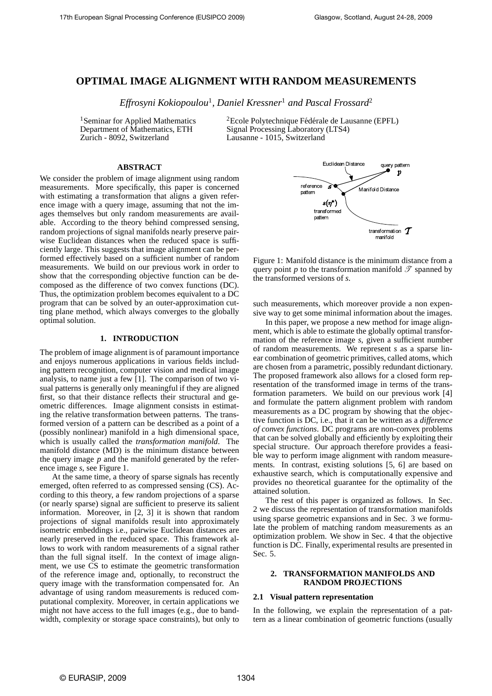# **OPTIMAL IMAGE ALIGNMENT WITH RANDOM MEASUREMENTS**

*Effrosyni Kokiopoulou*<sup>1</sup> *, Daniel Kressner*<sup>1</sup> *and Pascal Frossard*<sup>2</sup>

<sup>1</sup> Seminar for Applied Mathematics Department of Mathematics, ETH Zurich - 8092, Switzerland

Signal Processing Laboratory (LTS4) Lausanne - 1015, Switzerland

<sup>2</sup>Ecole Polytechnique Fédérale de Lausanne (EPFL)

# **ABSTRACT**

We consider the problem of image alignment using random measurements. More specifically, this paper is concerned with estimating a transformation that aligns a given reference image with a query image, assuming that not the images themselves but only random measurements are available. According to the theory behind compressed sensing, random projections of signal manifolds nearly preserve pairwise Euclidean distances when the reduced space is sufficiently large. This suggests that image alignment can be performed effectively based on a sufficient number of random measurements. We build on our previous work in order to show that the corresponding objective function can be decomposed as the difference of two convex functions (DC). Thus, the optimization problem becomes equivalent to a DC program that can be solved by an outer-approximation cutting plane method, which always converges to the globally optimal solution.

# **1. INTRODUCTION**

The problem of image alignment is of paramount importance and enjoys numerous applications in various fields including pattern recognition, computer vision and medical image analysis, to name just a few [1]. The comparison of two visual patterns is generally only meaningful if they are aligned first, so that their distance reflects their structural and geometric differences. Image alignment consists in estimating the relative transformation between patterns. The transformed version of a pattern can be described as a point of a (possibly nonlinear) manifold in a high dimensional space, which is usually called the *transformation manifold*. The manifold distance (MD) is the minimum distance between the query image *p* and the manifold generated by the reference image *s*, see Figure 1.

At the same time, a theory of sparse signals has recently emerged, often referred to as compressed sensing (CS). According to this theory, a few random projections of a sparse (or nearly sparse) signal are sufficient to preserve its salient information. Moreover, in [2, 3] it is shown that random projections of signal manifolds result into approximately isometric embeddings i.e., pairwise Euclidean distances are nearly preserved in the reduced space. This framework allows to work with random measurements of a signal rather than the full signal itself. In the context of image alignment, we use CS to estimate the geometric transformation of the reference image and, optionally, to reconstruct the query image with the transformation compensated for. An advantage of using random measurements is reduced computational complexity. Moreover, in certain applications we might not have access to the full images (e.g., due to bandwidth, complexity or storage space constraints), but only to



Figure 1: Manifold distance is the minimum distance from a query point *p* to the transformation manifold  $\mathscr T$  spanned by the transformed versions of *s*.

such measurements, which moreover provide a non expensive way to get some minimal information about the images.

In this paper, we propose a new method for image alignment, which is able to estimate the globally optimal transformation of the reference image *s*, given a sufficient number of random measurements. We represent *s* as a sparse linear combination of geometric primitives, called atoms, which are chosen from a parametric, possibly redundant dictionary. The proposed framework also allows for a closed form representation of the transformed image in terms of the transformation parameters. We build on our previous work [4] and formulate the pattern alignment problem with random measurements as a DC program by showing that the objective function is DC, i.e., that it can be written as a *difference of convex functions*. DC programs are non-convex problems that can be solved globally and efficiently by exploiting their special structure. Our approach therefore provides a feasible way to perform image alignment with random measurements. In contrast, existing solutions [5, 6] are based on exhaustive search, which is computationally expensive and provides no theoretical guarantee for the optimality of the attained solution.

The rest of this paper is organized as follows. In Sec. 2 we discuss the representation of transformation manifolds using sparse geometric expansions and in Sec. 3 we formulate the problem of matching random measurements as an optimization problem. We show in Sec. 4 that the objective function is DC. Finally, experimental results are presented in Sec. 5.

# **2. TRANSFORMATION MANIFOLDS AND RANDOM PROJECTIONS**

#### **2.1 Visual pattern representation**

In the following, we explain the representation of a pattern as a linear combination of geometric functions (usually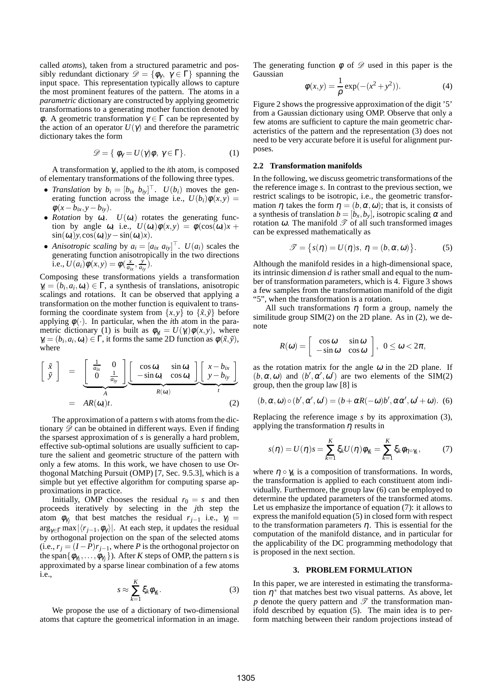called *atoms*), taken from a structured parametric and possibly redundant dictionary  $\mathscr{D} = {\phi_{\gamma}, \gamma \in \Gamma}$  spanning the input space. This representation typically allows to capture the most prominent features of the pattern. The atoms in a *parametric* dictionary are constructed by applying geometric transformations to a generating mother function denoted by  $φ$ . A geometric transformation  $γ ∈ Γ$  can be represented by the action of an operator  $U(\gamma)$  and therefore the parametric dictionary takes the form

$$
\mathscr{D} = \{ \phi_{\gamma} = U(\gamma)\phi, \ \gamma \in \Gamma \}. \tag{1}
$$

A transformation <sup>γ</sup>*<sup>i</sup>* , applied to the *i*th atom, is composed of elementary transformations of the following three types.

- *Translation* by  $b_i = [b_{ix} \ b_{iy}]^\top$ .  $U(b_i)$  moves the generating function across the image i.e.,  $U(b_i)\phi(x, y) =$  $\phi(x-b_{ix},y-b_{iy}).$
- *Rotation* by  $\omega_i$ .  $U(\omega_i)$  rotates the generating function by angle  $\omega_i$  i.e.,  $U(\omega_i)\phi(x, y) = \phi(\cos(\omega_i)x +$  $\sin(\omega_i)$ *y*,  $\cos(\omega_i)$ *y* −  $\sin(\omega_i)$ *x*).
- *Anisotropic scaling* by  $a_i = [a_{ix} \ a_{iy}]^\top$ .  $U(a_i)$  scales the generating function anisotropically in the two directions i.e.,  $U(a_i)\phi(x,y) = \phi(\frac{x}{a_{ix}}, \frac{y}{a_i})$  $\frac{y}{a_{iy}}$ .

Composing these transformations yields a transformation  $\gamma_i = (b_i, a_i, \omega_i) \in \Gamma$ , a synthesis of translations, anisotropic scalings and rotations. It can be observed that applying a transformation on the mother function is equivalent to transforming the coordinate system from  $\{x, y\}$  to  $\{\tilde{x}, \tilde{y}\}$  before applying  $\phi(\cdot)$ . In particular, when the *i*th atom in the parametric dictionary (1) is built as  $\phi_{\gamma} = U(\gamma_i)\phi(x, y)$ , where  $\gamma_i = (b_i, a_i, \omega_i) \in \Gamma$ , it forms the same 2D function as  $\phi(\tilde{x}, \tilde{y})$ , where

$$
\begin{bmatrix}\n\tilde{x} \\
\tilde{y}\n\end{bmatrix} = \underbrace{\begin{bmatrix}\n\frac{1}{a_{ix}} & 0 \\
0 & \frac{1}{a_{iy}}\n\end{bmatrix}}_{A} \underbrace{\begin{bmatrix}\n\cos \omega_i & \sin \omega_i \\
-\sin \omega_i & \cos \omega_i\n\end{bmatrix}}_{R(\omega_i)} \underbrace{\begin{bmatrix}\nx - b_{ix} \\
y - b_{iy}\n\end{bmatrix}}_{t}
$$
\n
$$
= AR(\omega_i)t.
$$
\n(2)

The approximation of a pattern *s* with atoms from the dictionary  $\mathscr{D}$  can be obtained in different ways. Even if finding the sparsest approximation of *s* is generally a hard problem, effective sub-optimal solutions are usually sufficient to capture the salient and geometric structure of the pattern with only a few atoms. In this work, we have chosen to use Orthogonal Matching Pursuit (OMP) [7, Sec. 9.5.3], which is a simple but yet effective algorithm for computing sparse approximations in practice.

Initially, OMP chooses the residual  $r_0 = s$  and then proceeds iteratively by selecting in the *j*th step the atom  $\phi_{\gamma_j}$  that best matches the residual  $r_{j-1}$  i.e.,  $\gamma_j =$  $\arg_{\gamma \in \Gamma} \max |\langle r_{j-1}, \phi_{\gamma} \rangle|$ . At each step, it updates the residual by orthogonal projection on the span of the selected atoms (i.e.,  $r_j = (I - P)r_{j-1}$ , where *P* is the orthogonal projector on the span $\{\phi_{\gamma_1}, \ldots, \phi_{\gamma_j}\}$ ). After *K* steps of OMP, the pattern *s* is approximated by a sparse linear combination of a few atoms i.e.,

$$
s \approx \sum_{k=1}^{K} \xi_k \phi_{\gamma_k}.
$$
 (3)

We propose the use of a dictionary of two-dimensional atoms that capture the geometrical information in an image.

The generating function  $\phi$  of  $\mathscr D$  used in this paper is the Gaussian

$$
\phi(x, y) = \frac{1}{\rho} \exp(-(x^2 + y^2)).
$$
\n(4)

Figure 2 shows the progressive approximation of the digit '5' from a Gaussian dictionary using OMP. Observe that only a few atoms are sufficient to capture the main geometric characteristics of the pattern and the representation (3) does not need to be very accurate before it is useful for alignment purposes.

#### **2.2 Transformation manifolds**

In the following, we discuss geometric transformations of the the reference image *s*. In contrast to the previous section, we restrict scalings to be isotropic, i.e., the geometric transformation  $\eta$  takes the form  $\eta = (b, \alpha, \omega)$ ; that is, it consists of a synthesis of translation  $b = [b_x, b_y]$ , isotropic scaling  $\alpha$  and rotation ω. The manifold  $\mathcal T$  of all such transformed images can be expressed mathematically as

$$
\mathcal{T} = \{s(\eta) = U(\eta)s, \eta = (b, \alpha, \omega)\}.
$$
 (5)

Although the manifold resides in a high-dimensional space, its intrinsic dimension *d* is rather small and equal to the number of transformation parameters, which is 4. Figure 3 shows a few samples from the transformation manifold of the digit "5", when the transformation is a rotation.

All such transformations  $\eta$  form a group, namely the similitude group  $SIM(2)$  on the 2D plane. As in (2), we denote

$$
R(\omega) = \left[\begin{array}{cc} \cos \omega & \sin \omega \\ -\sin \omega & \cos \omega \end{array}\right], \ \ 0 \leq \omega < 2\pi,
$$

as the rotation matrix for the angle  $\omega$  in the 2D plane. If  $(b, \alpha, \omega)$  and  $(b', \alpha', \omega')$  are two elements of the SIM(2) group, then the group law [8] is

$$
(b, \alpha, \omega) \circ (b', \alpha', \omega') = (b + \alpha R(-\omega)b', \alpha \alpha', \omega' + \omega). \tag{6}
$$

Replacing the reference image *s* by its approximation (3), applying the transformation  $\eta$  results in

$$
s(\eta) = U(\eta)s = \sum_{k=1}^{K} \xi_k U(\eta) \phi_{\gamma_k} = \sum_{k=1}^{K} \xi_k \phi_{\eta \circ \gamma_k}, \qquad (7)
$$

where  $\eta \circ \gamma_k$  is a composition of transformations. In words, the transformation is applied to each constituent atom individually. Furthermore, the group law (6) can be employed to determine the updated parameters of the transformed atoms. Let us emphasize the importance of equation (7): it allows to express the manifold equation (5) in closed form with respect to the transformation parameters  $\eta$ . This is essential for the computation of the manifold distance, and in particular for the applicability of the DC programming methodology that is proposed in the next section.

#### **3. PROBLEM FORMULATION**

In this paper, we are interested in estimating the transformation  $\eta^*$  that matches best two visual patterns. As above, let *p* denote the query pattern and  $\mathscr T$  the transformation manifold described by equation (5). The main idea is to perform matching between their random projections instead of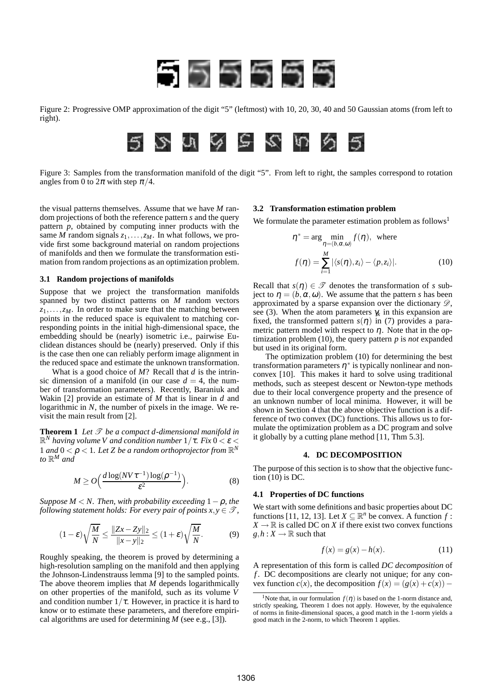

Figure 2: Progressive OMP approximation of the digit "5" (leftmost) with 10, 20, 30, 40 and 50 Gaussian atoms (from left to right).



Figure 3: Samples from the transformation manifold of the digit "5". From left to right, the samples correspond to rotation angles from 0 to  $2\pi$  with step  $\pi/4$ .

the visual patterns themselves. Assume that we have *M* random projections of both the reference pattern *s* and the query pattern *p*, obtained by computing inner products with the same *M* random signals *z*1,...,*zM*. In what follows, we provide first some background material on random projections of manifolds and then we formulate the transformation estimation from random projections as an optimization problem.

#### **3.1 Random projections of manifolds**

Suppose that we project the transformation manifolds spanned by two distinct patterns on *M* random vectors *z*1,...,*zM*. In order to make sure that the matching between points in the reduced space is equivalent to matching corresponding points in the initial high-dimensional space, the embedding should be (nearly) isometric i.e., pairwise Euclidean distances should be (nearly) preserved. Only if this is the case then one can reliably perform image alignment in the reduced space and estimate the unknown transformation.

What is a good choice of *M*? Recall that *d* is the intrinsic dimension of a manifold (in our case  $d = 4$ , the number of transformation parameters). Recently, Baraniuk and Wakin [2] provide an estimate of *M* that is linear in *d* and logarithmic in *N*, the number of pixels in the image. We revisit the main result from [2].

**Theorem 1** Let  $\mathcal T$  be a compact d-dimensional manifold in  $\mathbb{R}^N$  having volume V and condition number  $1/\tau$ . Fix  $0<\varepsilon<\tau$ 1 and  $0 < \rho < 1$ . Let Z be a random orthoprojector from  $\mathbb{R}^N$ to  $\mathbb{R}^M$  and

$$
M \ge O\Big(\frac{d\log(NV\tau^{-1})\log(\rho^{-1})}{\varepsilon^2}\Big). \tag{8}
$$

*Suppose M* < *N. Then, with probability exceeding* 1−ρ*, the following statement holds: For every pair of points*  $x, y \in \mathcal{T}$ *,* 

$$
(1 - \varepsilon)\sqrt{\frac{M}{N}} \le \frac{\|Zx - Zy\|_2}{\|x - y\|_2} \le (1 + \varepsilon)\sqrt{\frac{M}{N}}.\tag{9}
$$

Roughly speaking, the theorem is proved by determining a high-resolution sampling on the manifold and then applying the Johnson-Lindenstrauss lemma [9] to the sampled points. The above theorem implies that *M* depends logarithmically on other properties of the manifold, such as its volume *V* and condition number  $1/\tau$ . However, in practice it is hard to know or to estimate these parameters, and therefore empirical algorithms are used for determining *M* (see e.g., [3]).

#### **3.2 Transformation estimation problem**

We formulate the parameter estimation problem as follows<sup>1</sup>

$$
\eta^* = \arg\min_{\eta = (b,\alpha,\omega)} f(\eta), \text{ where}
$$

$$
f(\eta) = \sum_{i=1}^M |\langle s(\eta), z_i \rangle - \langle p, z_i \rangle|.
$$
 (10)

Recall that  $s(\eta) \in \mathscr{T}$  denotes the transformation of *s* subject to  $\eta = (b, \alpha, \omega)$ . We assume that the pattern *s* has been approximated by a sparse expansion over the dictionary  $\mathscr{D}$ , see (3). When the atom parameters  $\gamma_k$  in this expansion are fixed, the transformed pattern  $s(\eta)$  in (7) provides a parametric pattern model with respect to  $\eta$ . Note that in the optimization problem (10), the query pattern *p* is *not* expanded but used in its original form.

The optimization problem (10) for determining the best transformation parameters  $\eta^*$  is typically nonlinear and nonconvex [10]. This makes it hard to solve using traditional methods, such as steepest descent or Newton-type methods due to their local convergence property and the presence of an unknown number of local minima. However, it will be shown in Section 4 that the above objective function is a difference of two convex (DC) functions. This allows us to formulate the optimization problem as a DC program and solve it globally by a cutting plane method [11, Thm 5.3].

#### **4. DC DECOMPOSITION**

The purpose of this section is to show that the objective function (10) is DC.

# **4.1 Properties of DC functions**

We start with some definitions and basic properties about DC functions [11, 12, 13]. Let  $X \subseteq \mathbb{R}^n$  be convex. A function  $f$ :  $X \to \mathbb{R}$  is called DC on *X* if there exist two convex functions  $g, h: X \to \mathbb{R}$  such that

$$
f(x) = g(x) - h(x).
$$
 (11)

A representation of this form is called *DC decomposition* of *f*. DC decompositions are clearly not unique; for any convex function  $c(x)$ , the decomposition  $f(x) = (g(x) + c(x))$  –

<sup>&</sup>lt;sup>1</sup>Note that, in our formulation  $f(\eta)$  is based on the 1-norm distance and, strictly speaking, Theorem 1 does not apply. However, by the equivalence of norms in finite-dimensional spaces, a good match in the 1-norm yields a good match in the 2-norm, to which Theorem 1 applies.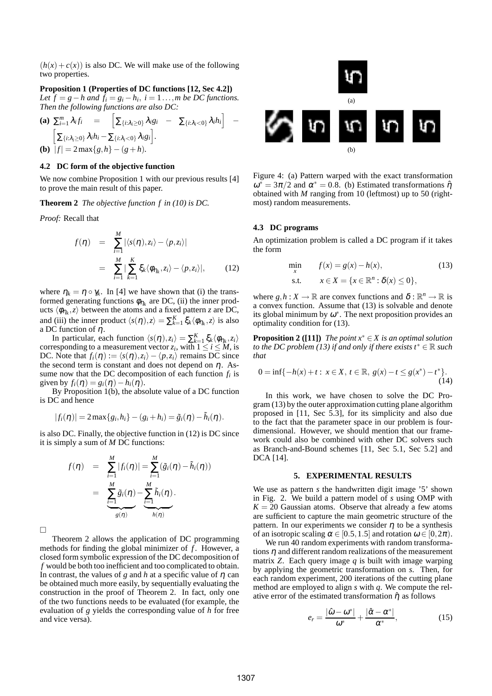$(h(x) + c(x))$  is also DC. We will make use of the following two properties.

**Proposition 1 (Properties of DC functions [12, Sec 4.2])**

*Let*  $f = g - h$  and  $f_i = g_i - h_i$ ,  $i = 1...$ , *m* be DC functions. *Then the following functions are also DC:*

(a) 
$$
\sum_{i=1}^{m} \lambda_i f_i = \left[ \sum_{\{i : \lambda_i \geq 0\}} \lambda_i g_i - \sum_{\{i : \lambda_i < 0\}} \lambda_i h_i \right] - \left[ \sum_{\{i : \lambda_i \geq 0\}} \lambda_i h_i - \sum_{\{i : \lambda_i < 0\}} \lambda_i g_i \right].
$$
\n(b)  $|f| = 2 \max\{g, h\} - (g + h).$ 

# **4.2 DC form of the objective function**

We now combine Proposition 1 with our previous results [4] to prove the main result of this paper.

**Theorem 2** *The objective function f in (10) is DC.*

*Proof:* Recall that

$$
f(\eta) = \sum_{i=1}^{M} |\langle s(\eta), z_i \rangle - \langle p, z_i \rangle|
$$
  
= 
$$
\sum_{i=1}^{M} |\sum_{k=1}^{K} \xi_k \langle \phi_{\eta_k}, z_i \rangle - \langle p, z_i \rangle|,
$$
 (12)

where  $\eta_k = \eta \circ \gamma_k$ . In [4] we have shown that (i) the transformed generating functions  $\phi_{\eta_k}$  are DC, (ii) the inner products  $\langle \phi_{\eta_k}, z \rangle$  between the atoms and a fixed pattern *z* are DC, and (iii) the inner product  $\langle s(\eta), z \rangle = \sum_{k=1}^{K} \xi_k \langle \phi_{\eta_k}, z \rangle$  is also a DC function of η.

In particular, each function  $\langle s(\eta), z_i \rangle = \sum_{k=1}^{K} \xi_k \langle \phi_{\eta_k}, z_i \rangle$ corresponding to a measurement vector  $z_i$ , with  $1 \le i \le M$ , is DC. Note that  $f_i(\eta) := \langle s(\eta), z_i \rangle - \langle p, z_i \rangle$  remains DC since the second term is constant and does not depend on  $\eta$ . Assume now that the DC decomposition of each function  $f_i$  is given by  $f_i(\eta) = g_i(\eta) - h_i(\eta)$ .

By Proposition 1(b), the absolute value of a DC function is DC and hence

$$
|f_i(\eta)|=2\max\{g_i,h_i\}-(g_i+h_i)=\tilde{g}_i(\eta)-\tilde{h}_i(\eta).
$$

is also DC. Finally, the objective function in (12) is DC since it is simply a sum of *M* DC functions:

$$
f(\eta) = \sum_{i=1}^{M} |f_i(\eta)| = \sum_{i=1}^{M} (\tilde{g}_i(\eta) - \tilde{h}_i(\eta))
$$
  
= 
$$
\sum_{i=1}^{M} \tilde{g}_i(\eta) - \sum_{i=1}^{M} \tilde{h}_i(\eta).
$$

 $\Box$ 

Theorem 2 allows the application of DC programming methods for finding the global minimizer of *f*. However, a closed form symbolic expression of the DC decomposition of *f* would be both too inefficient and too complicated to obtain. In contrast, the values of *g* and *h* at a specific value of  $\eta$  can be obtained much more easily, by sequentially evaluating the construction in the proof of Theorem 2. In fact, only one of the two functions needs to be evaluated (for example, the evaluation of *g* yields the corresponding value of *h* for free and vice versa).



Figure 4: (a) Pattern warped with the exact transformation  $\omega^* = 3\pi/2$  and  $\alpha^* = 0.8$ . (b) Estimated transformations  $\hat{\eta}$ obtained with *M* ranging from 10 (leftmost) up to 50 (rightmost) random measurements.

# **4.3 DC programs**

An optimization problem is called a DC program if it takes the form

$$
\min_{x} \qquad f(x) = g(x) - h(x), \tag{13}
$$
\n
$$
\text{s.t.} \qquad x \in X = \{x \in \mathbb{R}^n : \delta(x) \le 0\},
$$

where  $g, h: X \to \mathbb{R}$  are convex functions and  $\delta : \mathbb{R}^n \to \mathbb{R}$  is a convex function. Assume that (13) is solvable and denote its global minimum by  $\omega^*$ . The next proposition provides an optimality condition for (13).

**Proposition 2** ([11]) *The point*  $x^* \in X$  *is an optimal solution to the DC problem (13) if and only if there exists t*<sup>\*</sup>  $\in \mathbb{R}$  *such that*

$$
0 = \inf\{-h(x) + t : x \in X, t \in \mathbb{R}, g(x) - t \le g(x^*) - t^*\}.
$$
\n(14)

In this work, we have chosen to solve the DC Program (13) by the outer approximation cutting plane algorithm proposed in [11, Sec 5.3], for its simplicity and also due to the fact that the parameter space in our problem is fourdimensional. However, we should mention that our framework could also be combined with other DC solvers such as Branch-and-Bound schemes [11, Sec 5.1, Sec 5.2] and DCA [14].

## **5. EXPERIMENTAL RESULTS**

We use as pattern *s* the handwritten digit image '5' shown in Fig. 2. We build a pattern model of *s* using OMP with  $K = 20$  Gaussian atoms. Observe that already a few atoms are sufficient to capture the main geometric structure of the pattern. In our experiments we consider  $\eta$  to be a synthesis of an isotropic scaling  $\alpha \in [0.5, 1.5]$  and rotation  $\omega \in [0, 2\pi)$ .

We run 40 random experiments with random transformations  $\eta$  and different random realizations of the measurement matrix *Z*. Each query image *q* is built with image warping by applying the geometric transformation on *s*. Then, for each random experiment, 200 iterations of the cutting plane method are employed to align *s* with *q*. We compute the relative error of the estimated transformation  $\hat{\eta}$  as follows

$$
e_r = \frac{|\hat{\omega} - \omega^*|}{\omega^*} + \frac{|\hat{\alpha} - \alpha^*|}{\alpha^*},
$$
 (15)